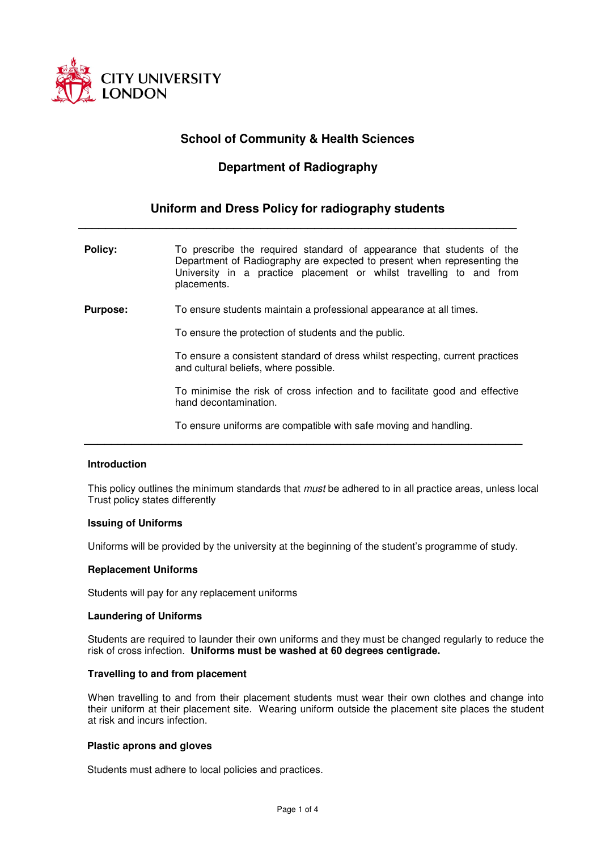

# **School of Community & Health Sciences**

# **Department of Radiography**

# **Uniform and Dress Policy for radiography students**

 **\_\_\_\_\_\_\_\_\_\_\_\_\_\_\_\_\_\_\_\_\_\_\_\_\_\_\_\_\_\_\_\_\_\_\_\_\_\_\_\_\_\_\_\_\_\_\_\_\_\_\_\_\_\_\_\_\_\_\_\_\_\_\_\_\_** 

**Policy:** To prescribe the required standard of appearance that students of the Department of Radiography are expected to present when representing the University in a practice placement or whilst travelling to and from placements.

**Purpose:** To ensure students maintain a professional appearance at all times.

To ensure the protection of students and the public.

 **\_\_\_\_\_\_\_\_\_\_\_\_\_\_\_\_\_\_\_\_\_\_\_\_\_\_\_\_\_\_\_\_\_\_\_\_\_\_\_\_\_\_\_\_\_\_\_\_\_\_\_\_\_\_\_\_\_\_\_\_\_\_\_\_\_** 

To ensure a consistent standard of dress whilst respecting, current practices and cultural beliefs, where possible.

To minimise the risk of cross infection and to facilitate good and effective hand decontamination.

To ensure uniforms are compatible with safe moving and handling.

# **Introduction**

This policy outlines the minimum standards that *must* be adhered to in all practice areas, unless local Trust policy states differently

# **Issuing of Uniforms**

Uniforms will be provided by the university at the beginning of the student's programme of study.

# **Replacement Uniforms**

Students will pay for any replacement uniforms

# **Laundering of Uniforms**

Students are required to launder their own uniforms and they must be changed regularly to reduce the risk of cross infection. **Uniforms must be washed at 60 degrees centigrade.**

# **Travelling to and from placement**

When travelling to and from their placement students must wear their own clothes and change into their uniform at their placement site. Wearing uniform outside the placement site places the student at risk and incurs infection.

# **Plastic aprons and gloves**

Students must adhere to local policies and practices.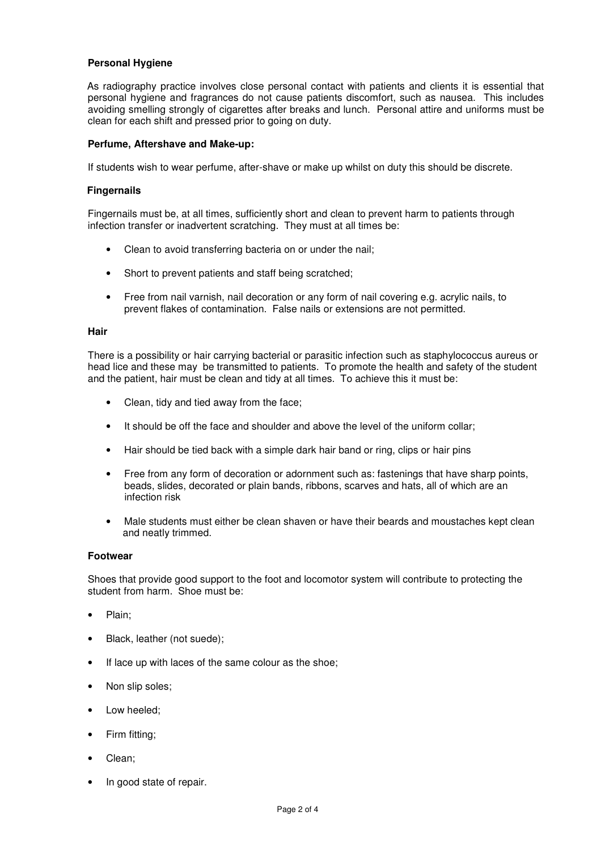# **Personal Hygiene**

 As radiography practice involves close personal contact with patients and clients it is essential that personal hygiene and fragrances do not cause patients discomfort, such as nausea. This includes avoiding smelling strongly of cigarettes after breaks and lunch. Personal attire and uniforms must be clean for each shift and pressed prior to going on duty.

# **Perfume, Aftershave and Make-up:**

If students wish to wear perfume, after-shave or make up whilst on duty this should be discrete.

# **Fingernails**

Fingernails must be, at all times, sufficiently short and clean to prevent harm to patients through infection transfer or inadvertent scratching. They must at all times be:

- Clean to avoid transferring bacteria on or under the nail;
- Short to prevent patients and staff being scratched;
- Free from nail varnish, nail decoration or any form of nail covering e.g. acrylic nails, to prevent flakes of contamination. False nails or extensions are not permitted.

#### **Hair**

There is a possibility or hair carrying bacterial or parasitic infection such as staphylococcus aureus or head lice and these may be transmitted to patients. To promote the health and safety of the student and the patient, hair must be clean and tidy at all times. To achieve this it must be:

- Clean, tidy and tied away from the face;
- It should be off the face and shoulder and above the level of the uniform collar;
- Hair should be tied back with a simple dark hair band or ring, clips or hair pins
- Free from any form of decoration or adornment such as: fastenings that have sharp points, beads, slides, decorated or plain bands, ribbons, scarves and hats, all of which are an infection risk
- Male students must either be clean shaven or have their beards and moustaches kept clean and neatly trimmed.

# **Footwear**

Shoes that provide good support to the foot and locomotor system will contribute to protecting the student from harm. Shoe must be:

- Plain:
- Black, leather (not suede);
- If lace up with laces of the same colour as the shoe;
- Non slip soles;
- Low heeled;
- Firm fitting;
- Clean:
- In good state of repair.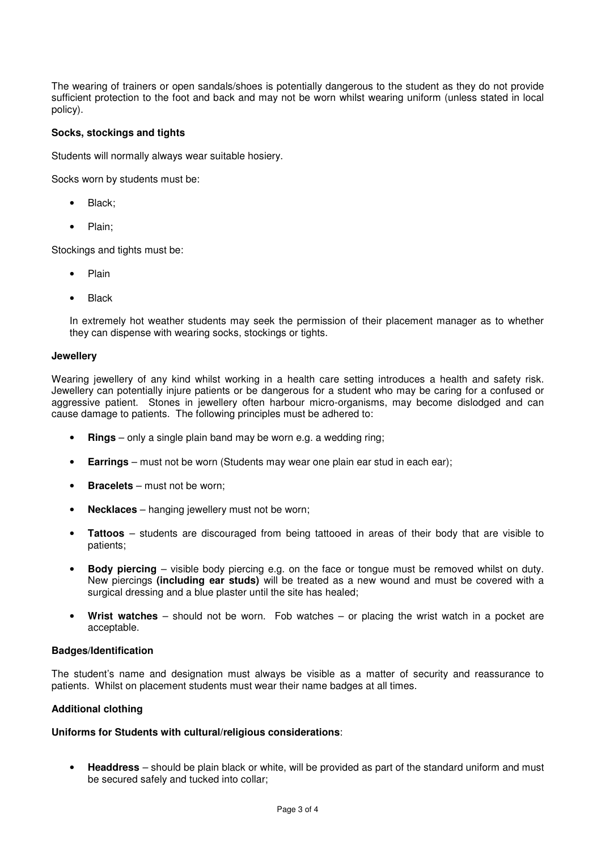The wearing of trainers or open sandals/shoes is potentially dangerous to the student as they do not provide sufficient protection to the foot and back and may not be worn whilst wearing uniform (unless stated in local policy).

# **Socks, stockings and tights**

Students will normally always wear suitable hosiery.

Socks worn by students must be:

- Black;
- Plain:

Stockings and tights must be:

- Plain
- **Black**

In extremely hot weather students may seek the permission of their placement manager as to whether they can dispense with wearing socks, stockings or tights.

# **Jewellery**

Wearing jewellery of any kind whilst working in a health care setting introduces a health and safety risk. Jewellery can potentially injure patients or be dangerous for a student who may be caring for a confused or aggressive patient. Stones in jewellery often harbour micro-organisms, may become dislodged and can cause damage to patients. The following principles must be adhered to:

- **Rings** only a single plain band may be worn e.g. a wedding ring;
- **Earrings** must not be worn (Students may wear one plain ear stud in each ear);
- **Bracelets** must not be worn;
- **Necklaces** hanging jewellery must not be worn;
- **Tattoos**  students are discouraged from being tattooed in areas of their body that are visible to patients;
- **Body piercing**  visible body piercing e.g. on the face or tongue must be removed whilst on duty. New piercings **(including ear studs)** will be treated as a new wound and must be covered with a surgical dressing and a blue plaster until the site has healed;
- **Wrist watches**  should not be worn. Fob watches or placing the wrist watch in a pocket are acceptable.

# **Badges/Identification**

The student's name and designation must always be visible as a matter of security and reassurance to patients. Whilst on placement students must wear their name badges at all times.

# **Additional clothing**

# **Uniforms for Students with cultural/religious considerations**:

• **Headdress** – should be plain black or white, will be provided as part of the standard uniform and must be secured safely and tucked into collar;